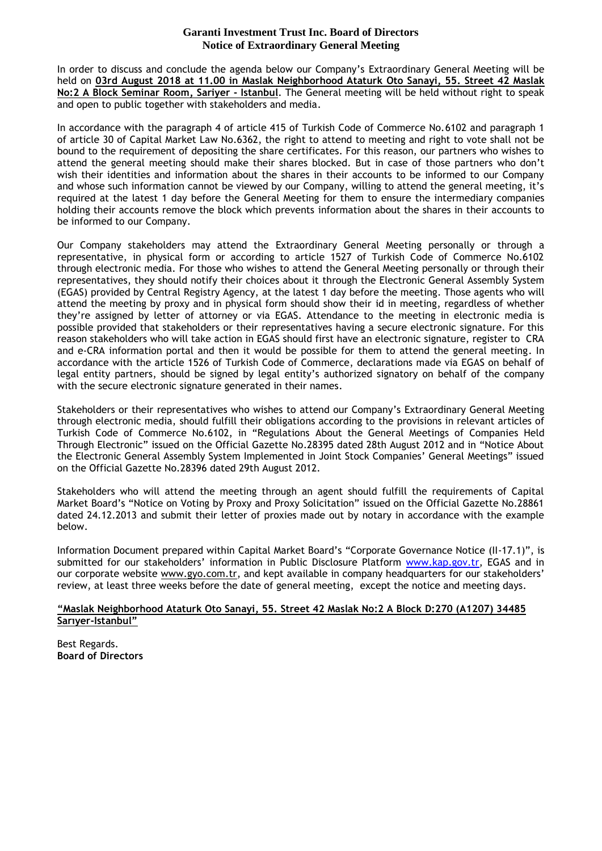## **Garanti Investment Trust Inc. Board of Directors Notice of Extraordinary General Meeting**

In order to discuss and conclude the agenda below our Company's Extraordinary General Meeting will be held on **03rd August 2018 at 11.00 in Maslak Neighborhood Ataturk Oto Sanayi, 55. Street 42 Maslak No:2 A Block Seminar Room, Sariyer - Istanbul**. The General meeting will be held without right to speak and open to public together with stakeholders and media.

In accordance with the paragraph 4 of article 415 of Turkish Code of Commerce No.6102 and paragraph 1 of article 30 of Capital Market Law No.6362, the right to attend to meeting and right to vote shall not be bound to the requirement of depositing the share certificates. For this reason, our partners who wishes to attend the general meeting should make their shares blocked. But in case of those partners who don't wish their identities and information about the shares in their accounts to be informed to our Company and whose such information cannot be viewed by our Company, willing to attend the general meeting, it's required at the latest 1 day before the General Meeting for them to ensure the intermediary companies holding their accounts remove the block which prevents information about the shares in their accounts to be informed to our Company.

Our Company stakeholders may attend the Extraordinary General Meeting personally or through a representative, in physical form or according to article 1527 of Turkish Code of Commerce No.6102 through electronic media. For those who wishes to attend the General Meeting personally or through their representatives, they should notify their choices about it through the Electronic General Assembly System (EGAS) provided by Central Registry Agency, at the latest 1 day before the meeting. Those agents who will attend the meeting by proxy and in physical form should show their id in meeting, regardless of whether they're assigned by letter of attorney or via EGAS. Attendance to the meeting in electronic media is possible provided that stakeholders or their representatives having a secure electronic signature. For this reason stakeholders who will take action in EGAS should first have an electronic signature, register to CRA and e-CRA information portal and then it would be possible for them to attend the general meeting. In accordance with the article 1526 of Turkish Code of Commerce, declarations made via EGAS on behalf of legal entity partners, should be signed by legal entity's authorized signatory on behalf of the company with the secure electronic signature generated in their names.

Stakeholders or their representatives who wishes to attend our Company's Extraordinary General Meeting through electronic media, should fulfill their obligations according to the provisions in relevant articles of Turkish Code of Commerce No.6102, in "Regulations About the General Meetings of Companies Held Through Electronic" issued on the Official Gazette No.28395 dated 28th August 2012 and in "Notice About the Electronic General Assembly System Implemented in Joint Stock Companies' General Meetings" issued on the Official Gazette No.28396 dated 29th August 2012.

Stakeholders who will attend the meeting through an agent should fulfill the requirements of Capital Market Board's "Notice on Voting by Proxy and Proxy Solicitation" issued on the Official Gazette No.28861 dated 24.12.2013 and submit their letter of proxies made out by notary in accordance with the example below.

Information Document prepared within Capital Market Board's "Corporate Governance Notice (II-17.1)", is submitted for our stakeholders' information in Public Disclosure Platform [www.kap.gov.tr,](http://www.kap.gov.tr/) EGAS and in our corporate website [www.gyo.com.tr,](http://www.gyo.com.tr/) and kept available in company headquarters for our stakeholders' review, at least three weeks before the date of general meeting, except the notice and meeting days.

### **"Maslak Neighborhood Ataturk Oto Sanayi, 55. Street 42 Maslak No:2 A Block D:270 (A1207) 34485 Sarıyer-Istanbul"**

Best Regards. **Board of Directors**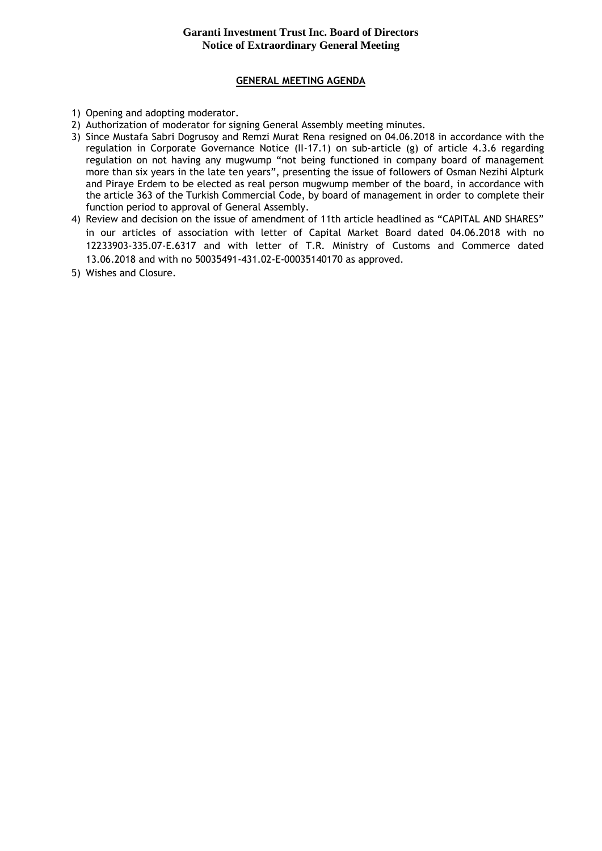# **Garanti Investment Trust Inc. Board of Directors Notice of Extraordinary General Meeting**

## **GENERAL MEETING AGENDA**

- 1) Opening and adopting moderator.
- 2) Authorization of moderator for signing General Assembly meeting minutes.
- 3) Since Mustafa Sabri Dogrusoy and Remzi Murat Rena resigned on 04.06.2018 in accordance with the regulation in Corporate Governance Notice (II-17.1) on sub-article (g) of article 4.3.6 regarding regulation on not having any mugwump "not being functioned in company board of management more than six years in the late ten years", presenting the issue of followers of Osman Nezihi Alpturk and Piraye Erdem to be elected as real person mugwump member of the board, in accordance with the article 363 of the Turkish Commercial Code, by board of management in order to complete their function period to approval of General Assembly.
- 4) Review and decision on the issue of amendment of 11th article headlined as "CAPITAL AND SHARES" in our articles of association with letter of Capital Market Board dated 04.06.2018 with no 12233903-335.07-E.6317 and with letter of T.R. Ministry of Customs and Commerce dated 13.06.2018 and with no 50035491-431.02-E-00035140170 as approved.
- 5) Wishes and Closure.